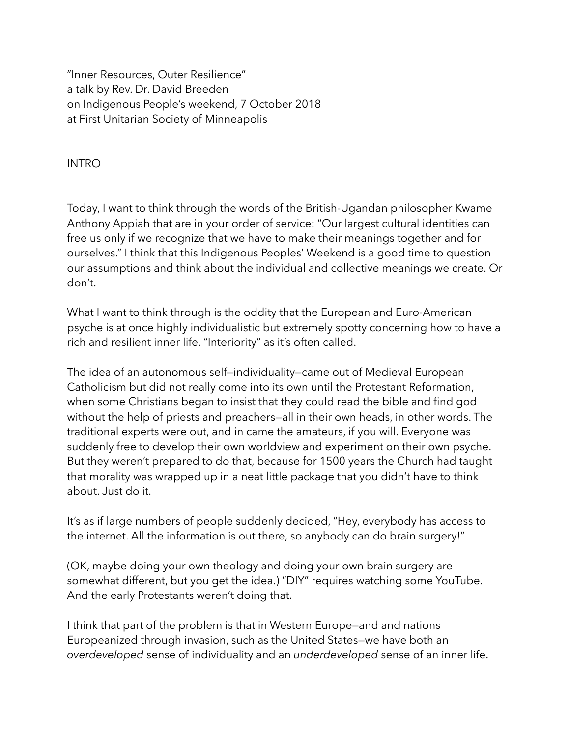"Inner Resources, Outer Resilience" a talk by Rev. Dr. David Breeden on Indigenous People's weekend, 7 October 2018 at First Unitarian Society of Minneapolis

INTRO

Today, I want to think through the words of the British-Ugandan philosopher Kwame Anthony Appiah that are in your order of service: "Our largest cultural identities can free us only if we recognize that we have to make their meanings together and for ourselves." I think that this Indigenous Peoples' Weekend is a good time to question our assumptions and think about the individual and collective meanings we create. Or don't.

What I want to think through is the oddity that the European and Euro-American psyche is at once highly individualistic but extremely spotty concerning how to have a rich and resilient inner life. "Interiority" as it's often called.

The idea of an autonomous self—individuality—came out of Medieval European Catholicism but did not really come into its own until the Protestant Reformation, when some Christians began to insist that they could read the bible and find god without the help of priests and preachers—all in their own heads, in other words. The traditional experts were out, and in came the amateurs, if you will. Everyone was suddenly free to develop their own worldview and experiment on their own psyche. But they weren't prepared to do that, because for 1500 years the Church had taught that morality was wrapped up in a neat little package that you didn't have to think about. Just do it.

It's as if large numbers of people suddenly decided, "Hey, everybody has access to the internet. All the information is out there, so anybody can do brain surgery!"

(OK, maybe doing your own theology and doing your own brain surgery are somewhat different, but you get the idea.) "DIY" requires watching some YouTube. And the early Protestants weren't doing that.

I think that part of the problem is that in Western Europe—and and nations Europeanized through invasion, such as the United States—we have both an *overdeveloped* sense of individuality and an *underdeveloped* sense of an inner life.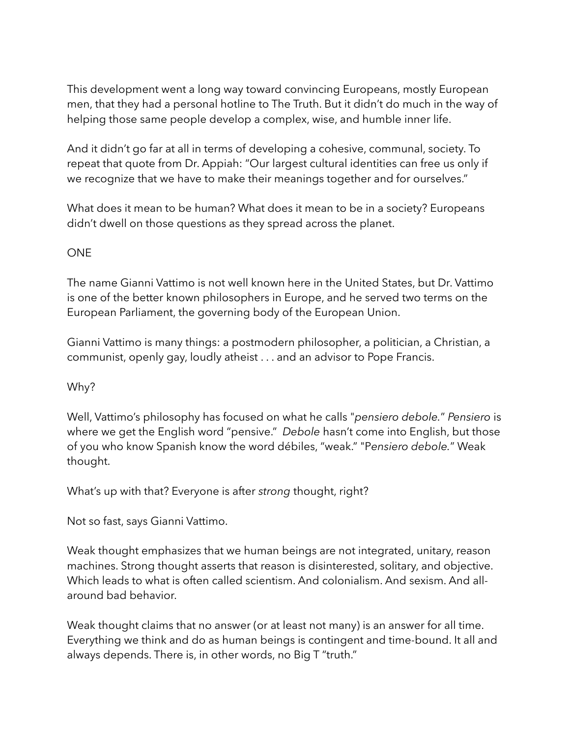This development went a long way toward convincing Europeans, mostly European men, that they had a personal hotline to The Truth. But it didn't do much in the way of helping those same people develop a complex, wise, and humble inner life.

And it didn't go far at all in terms of developing a cohesive, communal, society. To repeat that quote from Dr. Appiah: "Our largest cultural identities can free us only if we recognize that we have to make their meanings together and for ourselves."

What does it mean to be human? What does it mean to be in a society? Europeans didn't dwell on those questions as they spread across the planet.

# ONE

The name Gianni Vattimo is not well known here in the United States, but Dr. Vattimo is one of the better known philosophers in Europe, and he served two terms on the European Parliament, the governing body of the European Union.

Gianni Vattimo is many things: a postmodern philosopher, a politician, a Christian, a communist, openly gay, loudly atheist . . . and an advisor to Pope Francis.

## Why?

Well, Vattimo's philosophy has focused on what he calls "*pensiero debole.*" *Pensiero* is where we get the English word "pensive." *Debole* hasn't come into English, but those of you who know Spanish know the word débiles, "weak." "P*ensiero debole.*" Weak thought.

What's up with that? Everyone is after *strong* thought, right?

Not so fast, says Gianni Vattimo.

Weak thought emphasizes that we human beings are not integrated, unitary, reason machines. Strong thought asserts that reason is disinterested, solitary, and objective. Which leads to what is often called scientism. And colonialism. And sexism. And allaround bad behavior.

Weak thought claims that no answer (or at least not many) is an answer for all time. Everything we think and do as human beings is contingent and time-bound. It all and always depends. There is, in other words, no Big T "truth."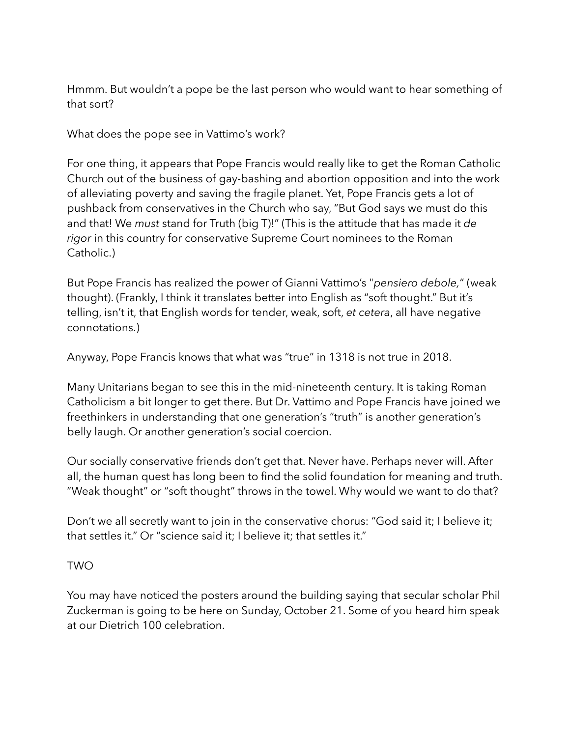Hmmm. But wouldn't a pope be the last person who would want to hear something of that sort?

What does the pope see in Vattimo's work?

For one thing, it appears that Pope Francis would really like to get the Roman Catholic Church out of the business of gay-bashing and abortion opposition and into the work of alleviating poverty and saving the fragile planet. Yet, Pope Francis gets a lot of pushback from conservatives in the Church who say, "But God says we must do this and that! We *must* stand for Truth (big T)!" (This is the attitude that has made it *de rigor* in this country for conservative Supreme Court nominees to the Roman Catholic.)

But Pope Francis has realized the power of Gianni Vattimo's "*pensiero debole,*" (weak thought). (Frankly, I think it translates better into English as "soft thought." But it's telling, isn't it, that English words for tender, weak, soft, *et cetera*, all have negative connotations.)

Anyway, Pope Francis knows that what was "true" in 1318 is not true in 2018.

Many Unitarians began to see this in the mid-nineteenth century. It is taking Roman Catholicism a bit longer to get there. But Dr. Vattimo and Pope Francis have joined we freethinkers in understanding that one generation's "truth" is another generation's belly laugh. Or another generation's social coercion.

Our socially conservative friends don't get that. Never have. Perhaps never will. After all, the human quest has long been to find the solid foundation for meaning and truth. "Weak thought" or "soft thought" throws in the towel. Why would we want to do that?

Don't we all secretly want to join in the conservative chorus: "God said it; I believe it; that settles it." Or "science said it; I believe it; that settles it."

## TWO

You may have noticed the posters around the building saying that secular scholar Phil Zuckerman is going to be here on Sunday, October 21. Some of you heard him speak at our Dietrich 100 celebration.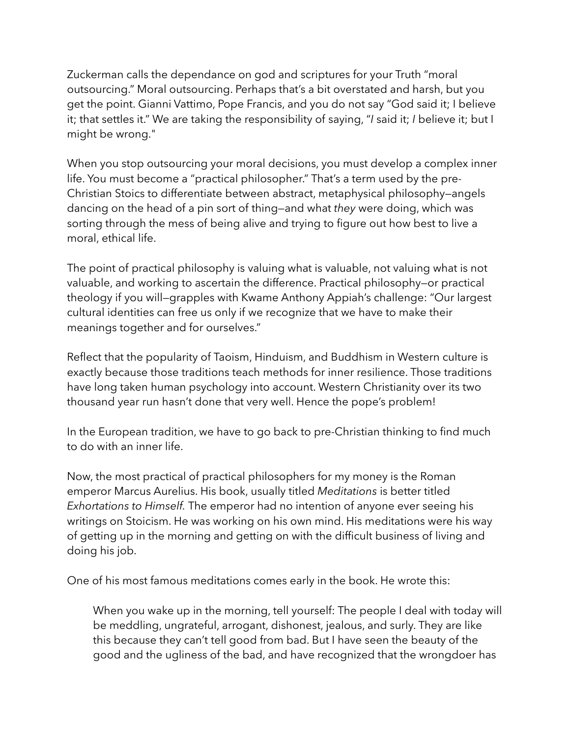Zuckerman calls the dependance on god and scriptures for your Truth "moral outsourcing." Moral outsourcing. Perhaps that's a bit overstated and harsh, but you get the point. Gianni Vattimo, Pope Francis, and you do not say "God said it; I believe it; that settles it." We are taking the responsibility of saying, "*I* said it; *I* believe it; but I might be wrong."

When you stop outsourcing your moral decisions, you must develop a complex inner life. You must become a "practical philosopher." That's a term used by the pre-Christian Stoics to differentiate between abstract, metaphysical philosophy—angels dancing on the head of a pin sort of thing—and what *they* were doing, which was sorting through the mess of being alive and trying to figure out how best to live a moral, ethical life.

The point of practical philosophy is valuing what is valuable, not valuing what is not valuable, and working to ascertain the difference. Practical philosophy—or practical theology if you will—grapples with Kwame Anthony Appiah's challenge: "Our largest cultural identities can free us only if we recognize that we have to make their meanings together and for ourselves."

Reflect that the popularity of Taoism, Hinduism, and Buddhism in Western culture is exactly because those traditions teach methods for inner resilience. Those traditions have long taken human psychology into account. Western Christianity over its two thousand year run hasn't done that very well. Hence the pope's problem!

In the European tradition, we have to go back to pre-Christian thinking to find much to do with an inner life.

Now, the most practical of practical philosophers for my money is the Roman emperor Marcus Aurelius. His book, usually titled *Meditations* is better titled *Exhortations to Himself.* The emperor had no intention of anyone ever seeing his writings on Stoicism. He was working on his own mind. His meditations were his way of getting up in the morning and getting on with the difficult business of living and doing his job.

One of his most famous meditations comes early in the book. He wrote this:

When you wake up in the morning, tell yourself: The people I deal with today will be meddling, ungrateful, arrogant, dishonest, jealous, and surly. They are like this because they can't tell good from bad. But I have seen the beauty of the good and the ugliness of the bad, and have recognized that the wrongdoer has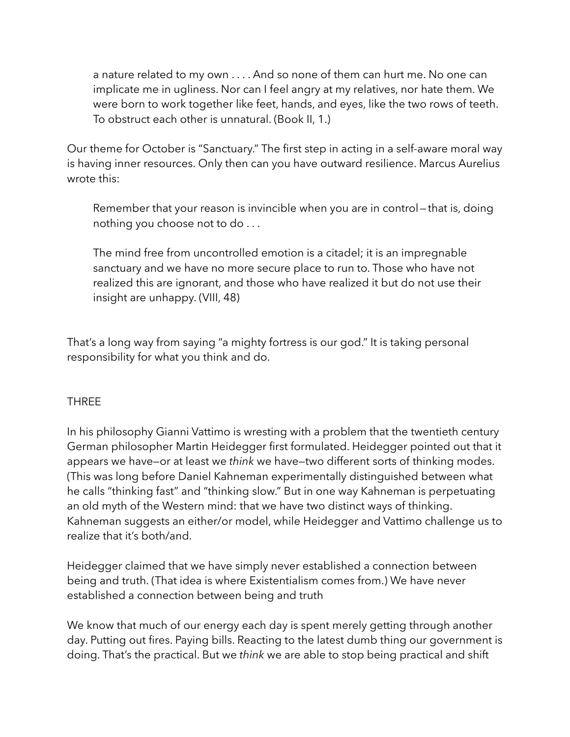a nature related to my own . . . . And so none of them can hurt me. No one can implicate me in ugliness. Nor can I feel angry at my relatives, nor hate them. We were born to work together like feet, hands, and eyes, like the two rows of teeth. To obstruct each other is unnatural. (Book II, 1.)

Our theme for October is "Sanctuary." The first step in acting in a self-aware moral way is having inner resources. Only then can you have outward resilience. Marcus Aurelius wrote this:

Remember that your reason is invincible when you are in control—that is, doing nothing you choose not to do . . .

The mind free from uncontrolled emotion is a citadel; it is an impregnable sanctuary and we have no more secure place to run to. Those who have not realized this are ignorant, and those who have realized it but do not use their insight are unhappy. (VIII, 48)

That's a long way from saying "a mighty fortress is our god." It is taking personal responsibility for what you think and do.

## **THRFF**

In his philosophy Gianni Vattimo is wresting with a problem that the twentieth century German philosopher Martin Heidegger first formulated. Heidegger pointed out that it appears we have—or at least we *think* we have—two different sorts of thinking modes. (This was long before Daniel Kahneman experimentally distinguished between what he calls "thinking fast" and "thinking slow." But in one way Kahneman is perpetuating an old myth of the Western mind: that we have two distinct ways of thinking. Kahneman suggests an either/or model, while Heidegger and Vattimo challenge us to realize that it's both/and.

Heidegger claimed that we have simply never established a connection between being and truth. (That idea is where Existentialism comes from.) We have never established a connection between being and truth

We know that much of our energy each day is spent merely getting through another day. Putting out fires. Paying bills. Reacting to the latest dumb thing our government is doing. That's the practical. But we *think* we are able to stop being practical and shift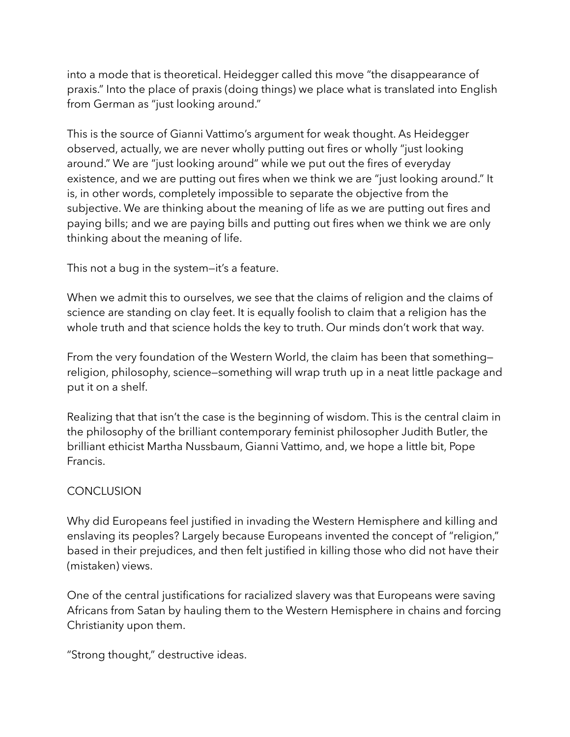into a mode that is theoretical. Heidegger called this move "the disappearance of praxis." Into the place of praxis (doing things) we place what is translated into English from German as "just looking around."

This is the source of Gianni Vattimo's argument for weak thought. As Heidegger observed, actually, we are never wholly putting out fires or wholly "just looking around." We are "just looking around" while we put out the fires of everyday existence, and we are putting out fires when we think we are "just looking around." It is, in other words, completely impossible to separate the objective from the subjective. We are thinking about the meaning of life as we are putting out fires and paying bills; and we are paying bills and putting out fires when we think we are only thinking about the meaning of life.

This not a bug in the system—it's a feature.

When we admit this to ourselves, we see that the claims of religion and the claims of science are standing on clay feet. It is equally foolish to claim that a religion has the whole truth and that science holds the key to truth. Our minds don't work that way.

From the very foundation of the Western World, the claim has been that something religion, philosophy, science—something will wrap truth up in a neat little package and put it on a shelf.

Realizing that that isn't the case is the beginning of wisdom. This is the central claim in the philosophy of the brilliant contemporary feminist philosopher Judith Butler, the brilliant ethicist Martha Nussbaum, Gianni Vattimo, and, we hope a little bit, Pope Francis.

## **CONCLUSION**

Why did Europeans feel justified in invading the Western Hemisphere and killing and enslaving its peoples? Largely because Europeans invented the concept of "religion," based in their prejudices, and then felt justified in killing those who did not have their (mistaken) views.

One of the central justifications for racialized slavery was that Europeans were saving Africans from Satan by hauling them to the Western Hemisphere in chains and forcing Christianity upon them.

"Strong thought," destructive ideas.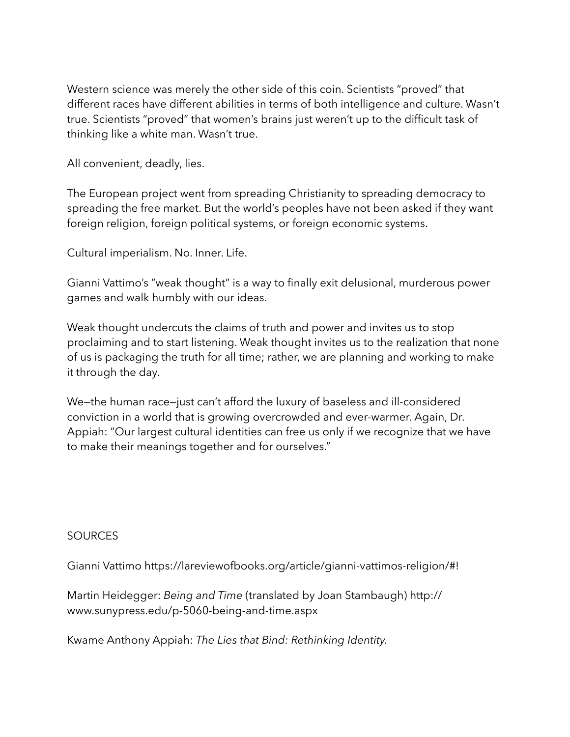Western science was merely the other side of this coin. Scientists "proved" that different races have different abilities in terms of both intelligence and culture. Wasn't true. Scientists "proved" that women's brains just weren't up to the difficult task of thinking like a white man. Wasn't true.

All convenient, deadly, lies.

The European project went from spreading Christianity to spreading democracy to spreading the free market. But the world's peoples have not been asked if they want foreign religion, foreign political systems, or foreign economic systems.

Cultural imperialism. No. Inner. Life.

Gianni Vattimo's "weak thought" is a way to finally exit delusional, murderous power games and walk humbly with our ideas.

Weak thought undercuts the claims of truth and power and invites us to stop proclaiming and to start listening. Weak thought invites us to the realization that none of us is packaging the truth for all time; rather, we are planning and working to make it through the day.

We—the human race—just can't afford the luxury of baseless and ill-considered conviction in a world that is growing overcrowded and ever-warmer. Again, Dr. Appiah: "Our largest cultural identities can free us only if we recognize that we have to make their meanings together and for ourselves."

## **SOURCES**

Gianni Vattimo<https://lareviewofbooks.org/article/gianni-vattimos-religion/#>!

Martin Heidegger: *Being and Time* (translated by Joan Stambaugh) [http://](http://www.sunypress.edu/p-5060-being-and-time.aspx) [www.sunypress.edu/p-5060-being-and-time.aspx](http://www.sunypress.edu/p-5060-being-and-time.aspx)

Kwame Anthony Appiah: *The Lies that Bind: Rethinking Identity.*